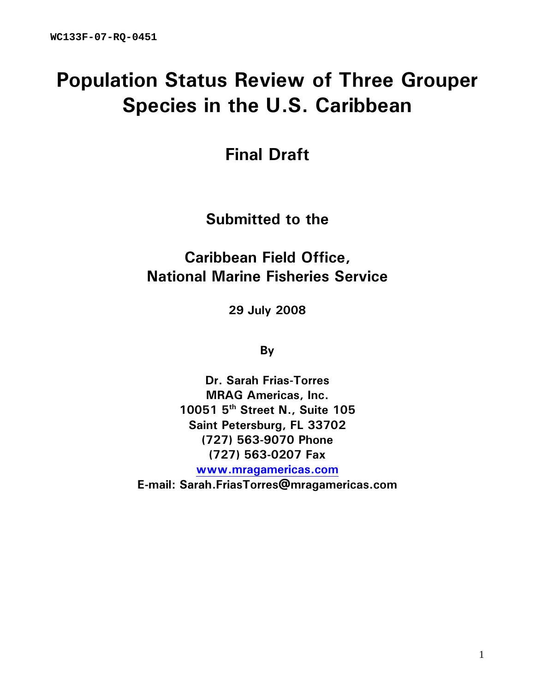# **Population Status Review of Three Grouper Species in the U.S. Caribbean**

**Final Draft** 

**Submitted to the** 

**Caribbean Field Office, National Marine Fisheries Service** 

**29 July 2008** 

**By** 

**Dr. Sarah Frias-Torres MRAG Americas, Inc. 10051 5th Street N., Suite 105 Saint Petersburg, FL 33702 (727) 563-9070 Phone (727) 563-0207 Fax www.mragamericas.com**

**E-mail: Sarah.FriasTorres@mragamericas.com**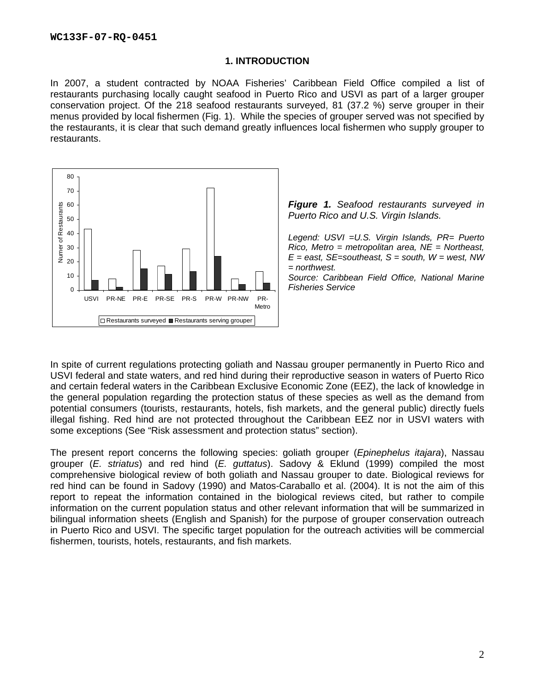### **1. INTRODUCTION**

In 2007, a student contracted by NOAA Fisheries' Caribbean Field Office compiled a list of restaurants purchasing locally caught seafood in Puerto Rico and USVI as part of a larger grouper conservation project. Of the 218 seafood restaurants surveyed, 81 (37.2 %) serve grouper in their menus provided by local fishermen (Fig. 1). While the species of grouper served was not specified by the restaurants, it is clear that such demand greatly influences local fishermen who supply grouper to restaurants.



*Figure 1. Seafood restaurants surveyed in Puerto Rico and U.S. Virgin Islands.* 

*Legend: USVI =U.S. Virgin Islands, PR= Puerto Rico, Metro = metropolitan area, NE = Northeast,*   $E =$  east, SE=southeast, S = south,  $W =$  west, NW *= northwest.* 

*Source: Caribbean Field Office, National Marine Fisheries Service* 

In spite of current regulations protecting goliath and Nassau grouper permanently in Puerto Rico and USVI federal and state waters, and red hind during their reproductive season in waters of Puerto Rico and certain federal waters in the Caribbean Exclusive Economic Zone (EEZ), the lack of knowledge in the general population regarding the protection status of these species as well as the demand from potential consumers (tourists, restaurants, hotels, fish markets, and the general public) directly fuels illegal fishing. Red hind are not protected throughout the Caribbean EEZ nor in USVI waters with some exceptions (See "Risk assessment and protection status" section).

The present report concerns the following species: goliath grouper (*Epinephelus itajara*), Nassau grouper (*E. striatus*) and red hind (*E. guttatus*). Sadovy & Eklund (1999) compiled the most comprehensive biological review of both goliath and Nassau grouper to date. Biological reviews for red hind can be found in Sadovy (1990) and Matos-Caraballo et al. (2004). It is not the aim of this report to repeat the information contained in the biological reviews cited, but rather to compile information on the current population status and other relevant information that will be summarized in bilingual information sheets (English and Spanish) for the purpose of grouper conservation outreach in Puerto Rico and USVI. The specific target population for the outreach activities will be commercial fishermen, tourists, hotels, restaurants, and fish markets.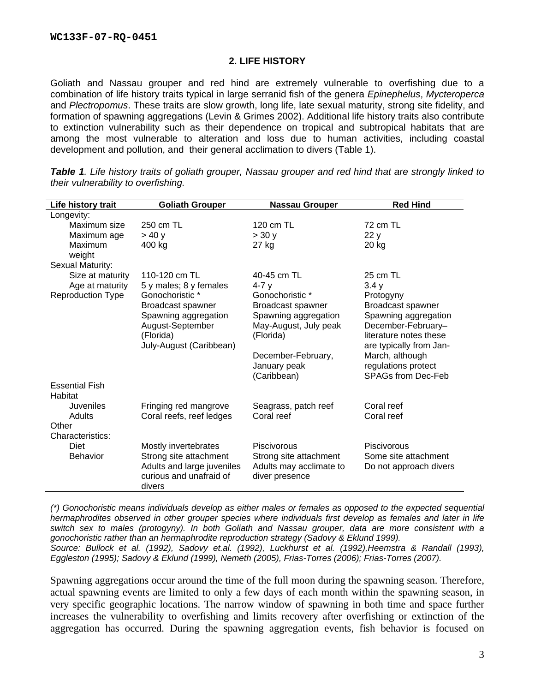## **2. LIFE HISTORY**

Goliath and Nassau grouper and red hind are extremely vulnerable to overfishing due to a combination of life history traits typical in large serranid fish of the genera *Epinephelus*, *Mycteroperca* and *Plectropomus*. These traits are slow growth, long life, late sexual maturity, strong site fidelity, and formation of spawning aggregations (Levin & Grimes 2002). Additional life history traits also contribute to extinction vulnerability such as their dependence on tropical and subtropical habitats that are among the most vulnerable to alteration and loss due to human activities, including coastal development and pollution, and their general acclimation to divers (Table 1).

| Life history trait               | <b>Goliath Grouper</b>                            | <b>Nassau Grouper</b>              | <b>Red Hind</b>           |
|----------------------------------|---------------------------------------------------|------------------------------------|---------------------------|
| Longevity:                       |                                                   |                                    |                           |
| Maximum size                     | 250 cm TL                                         | 120 cm TL                          | 72 cm TL                  |
| Maximum age                      | > 40y                                             | > 30y                              | 22 y                      |
| Maximum                          | 400 kg                                            | 27 kg                              | 20 kg                     |
| weight                           |                                                   |                                    |                           |
| Sexual Maturity:                 |                                                   |                                    |                           |
| Size at maturity                 | 110-120 cm TL                                     | 40-45 cm TL                        | 25 cm TL                  |
| Age at maturity                  | 5 y males; 8 y females                            | 4-7 y                              | 3.4y                      |
| <b>Reproduction Type</b>         | Gonochoristic *                                   | Gonochoristic *                    | Protogyny                 |
|                                  | Broadcast spawner                                 | Broadcast spawner                  | Broadcast spawner         |
|                                  | Spawning aggregation                              | Spawning aggregation               | Spawning aggregation      |
|                                  | August-September                                  | May-August, July peak              | December-February-        |
|                                  | (Florida)                                         | (Florida)                          | literature notes these    |
|                                  | July-August (Caribbean)                           |                                    | are typically from Jan-   |
|                                  |                                                   | December-February,                 | March, although           |
|                                  |                                                   | January peak                       | regulations protect       |
|                                  |                                                   | (Caribbean)                        | <b>SPAGs from Dec-Feb</b> |
| <b>Essential Fish</b><br>Habitat |                                                   |                                    |                           |
| Juveniles                        |                                                   |                                    | Coral reef                |
| Adults                           | Fringing red mangrove<br>Coral reefs, reef ledges | Seagrass, patch reef<br>Coral reef | Coral reef                |
| Other                            |                                                   |                                    |                           |
| Characteristics:                 |                                                   |                                    |                           |
| <b>Diet</b>                      | Mostly invertebrates                              | Piscivorous                        | Piscivorous               |
| <b>Behavior</b>                  | Strong site attachment                            | Strong site attachment             | Some site attachment      |
|                                  | Adults and large juveniles                        | Adults may acclimate to            | Do not approach divers    |
|                                  | curious and unafraid of                           | diver presence                     |                           |
|                                  | divers                                            |                                    |                           |
|                                  |                                                   |                                    |                           |

*Table 1. Life history traits of goliath grouper, Nassau grouper and red hind that are strongly linked to their vulnerability to overfishing.* 

*(\*) Gonochoristic means individuals develop as either males or females as opposed to the expected sequential hermaphrodites observed in other grouper species where individuals first develop as females and later in life switch sex to males (protogyny). In both Goliath and Nassau grouper, data are more consistent with a gonochoristic rather than an hermaphrodite reproduction strategy (Sadovy & Eklund 1999). Source: Bullock et al. (1992), Sadovy et.al. (1992), Luckhurst et al. (1992),Heemstra & Randall (1993),* 

*Eggleston (1995); Sadovy & Eklund (1999), Nemeth (2005), Frias-Torres (2006); Frias-Torres (2007).* 

Spawning aggregations occur around the time of the full moon during the spawning season. Therefore, actual spawning events are limited to only a few days of each month within the spawning season, in very specific geographic locations. The narrow window of spawning in both time and space further increases the vulnerability to overfishing and limits recovery after overfishing or extinction of the aggregation has occurred. During the spawning aggregation events, fish behavior is focused on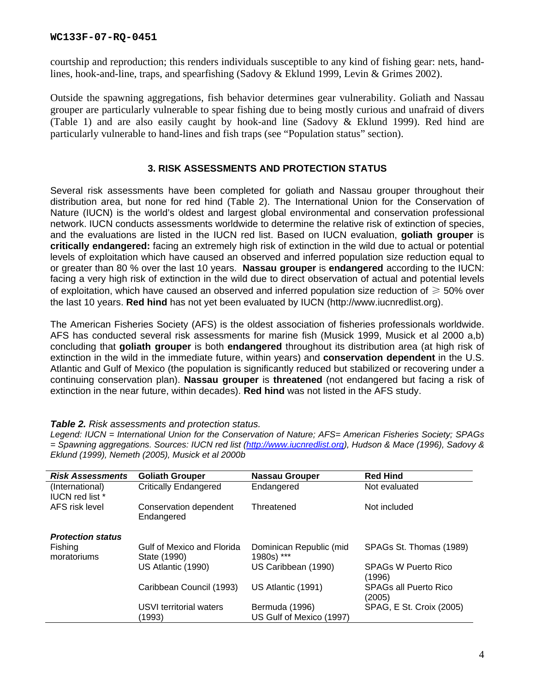courtship and reproduction; this renders individuals susceptible to any kind of fishing gear: nets, handlines, hook-and-line, traps, and spearfishing (Sadovy & Eklund 1999, Levin & Grimes 2002).

Outside the spawning aggregations, fish behavior determines gear vulnerability. Goliath and Nassau grouper are particularly vulnerable to spear fishing due to being mostly curious and unafraid of divers (Table 1) and are also easily caught by hook-and line (Sadovy & Eklund 1999). Red hind are particularly vulnerable to hand-lines and fish traps (see "Population status" section).

# **3. RISK ASSESSMENTS AND PROTECTION STATUS**

Several risk assessments have been completed for goliath and Nassau grouper throughout their distribution area, but none for red hind (Table 2). The International Union for the Conservation of Nature (IUCN) is the world's oldest and largest global environmental and conservation professional network. IUCN conducts assessments worldwide to determine the relative risk of extinction of species, and the evaluations are listed in the IUCN red list. Based on IUCN evaluation, **goliath grouper** is **critically endangered:** facing an extremely high risk of extinction in the wild due to actual or potential levels of exploitation which have caused an observed and inferred population size reduction equal to or greater than 80 % over the last 10 years. **Nassau grouper** is **endangered** according to the IUCN: facing a very high risk of extinction in the wild due to direct observation of actual and potential levels of exploitation, which have caused an observed and inferred population size reduction of  $\geq 50\%$  over the last 10 years. **Red hind** has not yet been evaluated by IUCN (http://www.iucnredlist.org).

The American Fisheries Society (AFS) is the oldest association of fisheries professionals worldwide. AFS has conducted several risk assessments for marine fish (Musick 1999, Musick et al 2000 a,b) concluding that **goliath grouper** is both **endangered** throughout its distribution area (at high risk of extinction in the wild in the immediate future, within years) and **conservation dependent** in the U.S. Atlantic and Gulf of Mexico (the population is significantly reduced but stabilized or recovering under a continuing conservation plan). **Nassau grouper** is **threatened** (not endangered but facing a risk of extinction in the near future, within decades). **Red hind** was not listed in the AFS study.

### *Table 2. Risk assessments and protection status.*

*Legend: IUCN = International Union for the Conservation of Nature; AFS= American Fisheries Society; SPAGs = Spawning aggregations. Sources: IUCN red list (http://www.iucnredlist.org), Hudson & Mace (1996), Sadovy & Eklund (1999), Nemeth (2005), Musick et al 2000b* 

| <b>Risk Assessments</b>                   | <b>Goliath Grouper</b>                     | <b>Nassau Grouper</b>                      | <b>Red Hind</b>                      |
|-------------------------------------------|--------------------------------------------|--------------------------------------------|--------------------------------------|
| (International)<br><b>IUCN red list</b> * | <b>Critically Endangered</b>               | Endangered                                 | Not evaluated                        |
| AFS risk level                            | Conservation dependent<br>Endangered       | Threatened                                 | Not included                         |
| <b>Protection status</b>                  |                                            |                                            |                                      |
| Fishing<br>moratoriums                    | Gulf of Mexico and Florida<br>State (1990) | Dominican Republic (mid<br>1980s) ***      | SPAGs St. Thomas (1989)              |
|                                           | US Atlantic (1990)                         | US Caribbean (1990)                        | <b>SPAGs W Puerto Rico</b><br>(1996) |
|                                           | Caribbean Council (1993)                   | US Atlantic (1991)                         | SPAGs all Puerto Rico<br>(2005)      |
|                                           | USVI territorial waters<br>(1993)          | Bermuda (1996)<br>US Gulf of Mexico (1997) | SPAG, E St. Croix (2005)             |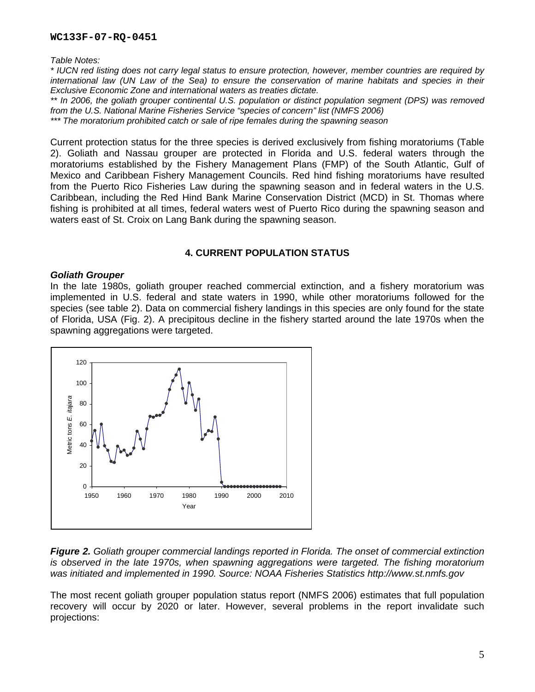*Table Notes:* 

*\* IUCN red listing does not carry legal status to ensure protection, however, member countries are required by international law (UN Law of the Sea) to ensure the conservation of marine habitats and species in their Exclusive Economic Zone and international waters as treaties dictate.* 

*\*\* In 2006, the goliath grouper continental U.S. population or distinct population segment (DPS) was removed from the U.S. National Marine Fisheries Service "species of concern" list (NMFS 2006)* 

*\*\*\* The moratorium prohibited catch or sale of ripe females during the spawning season* 

Current protection status for the three species is derived exclusively from fishing moratoriums (Table 2). Goliath and Nassau grouper are protected in Florida and U.S. federal waters through the moratoriums established by the Fishery Management Plans (FMP) of the South Atlantic, Gulf of Mexico and Caribbean Fishery Management Councils. Red hind fishing moratoriums have resulted from the Puerto Rico Fisheries Law during the spawning season and in federal waters in the U.S. Caribbean, including the Red Hind Bank Marine Conservation District (MCD) in St. Thomas where fishing is prohibited at all times, federal waters west of Puerto Rico during the spawning season and waters east of St. Croix on Lang Bank during the spawning season.

## **4. CURRENT POPULATION STATUS**

### *Goliath Grouper*

In the late 1980s, goliath grouper reached commercial extinction, and a fishery moratorium was implemented in U.S. federal and state waters in 1990, while other moratoriums followed for the species (see table 2). Data on commercial fishery landings in this species are only found for the state of Florida, USA (Fig. 2). A precipitous decline in the fishery started around the late 1970s when the spawning aggregations were targeted.



*Figure 2. Goliath grouper commercial landings reported in Florida. The onset of commercial extinction is observed in the late 1970s, when spawning aggregations were targeted. The fishing moratorium was initiated and implemented in 1990. Source: NOAA Fisheries Statistics http://www.st.nmfs.gov* 

The most recent goliath grouper population status report (NMFS 2006) estimates that full population recovery will occur by 2020 or later. However, several problems in the report invalidate such projections: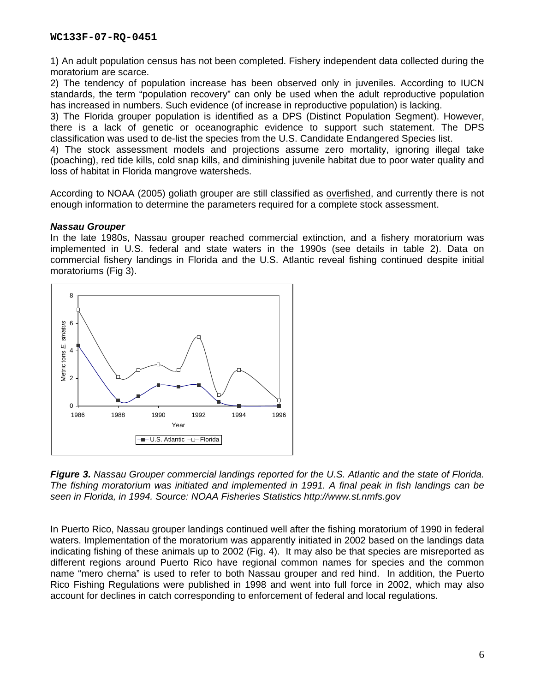1) An adult population census has not been completed. Fishery independent data collected during the moratorium are scarce.

2) The tendency of population increase has been observed only in juveniles. According to IUCN standards, the term "population recovery" can only be used when the adult reproductive population has increased in numbers. Such evidence (of increase in reproductive population) is lacking.

3) The Florida grouper population is identified as a DPS (Distinct Population Segment). However, there is a lack of genetic or oceanographic evidence to support such statement. The DPS classification was used to de-list the species from the U.S. Candidate Endangered Species list.

4) The stock assessment models and projections assume zero mortality, ignoring illegal take (poaching), red tide kills, cold snap kills, and diminishing juvenile habitat due to poor water quality and loss of habitat in Florida mangrove watersheds.

According to NOAA (2005) goliath grouper are still classified as overfished, and currently there is not enough information to determine the parameters required for a complete stock assessment.

# *Nassau Grouper*

In the late 1980s, Nassau grouper reached commercial extinction, and a fishery moratorium was implemented in U.S. federal and state waters in the 1990s (see details in table 2). Data on commercial fishery landings in Florida and the U.S. Atlantic reveal fishing continued despite initial moratoriums (Fig 3).



*Figure 3. Nassau Grouper commercial landings reported for the U.S. Atlantic and the state of Florida. The fishing moratorium was initiated and implemented in 1991. A final peak in fish landings can be seen in Florida, in 1994. Source: NOAA Fisheries Statistics http://www.st.nmfs.gov* 

In Puerto Rico, Nassau grouper landings continued well after the fishing moratorium of 1990 in federal waters. Implementation of the moratorium was apparently initiated in 2002 based on the landings data indicating fishing of these animals up to 2002 (Fig. 4). It may also be that species are misreported as different regions around Puerto Rico have regional common names for species and the common name "mero cherna" is used to refer to both Nassau grouper and red hind. In addition, the Puerto Rico Fishing Regulations were published in 1998 and went into full force in 2002, which may also account for declines in catch corresponding to enforcement of federal and local regulations.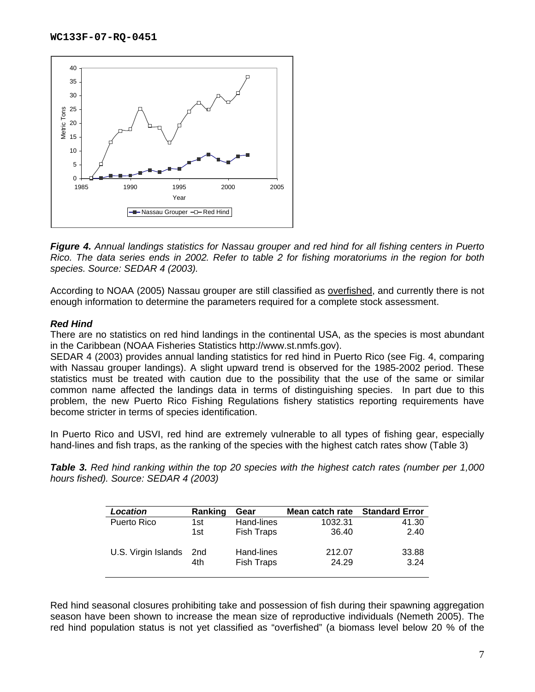

*Figure 4. Annual landings statistics for Nassau grouper and red hind for all fishing centers in Puerto Rico. The data series ends in 2002. Refer to table 2 for fishing moratoriums in the region for both species. Source: SEDAR 4 (2003).* 

According to NOAA (2005) Nassau grouper are still classified as overfished, and currently there is not enough information to determine the parameters required for a complete stock assessment.

## *Red Hind*

There are no statistics on red hind landings in the continental USA, as the species is most abundant in the Caribbean (NOAA Fisheries Statistics http://www.st.nmfs.gov).

SEDAR 4 (2003) provides annual landing statistics for red hind in Puerto Rico (see Fig. 4, comparing with Nassau grouper landings). A slight upward trend is observed for the 1985-2002 period. These statistics must be treated with caution due to the possibility that the use of the same or similar common name affected the landings data in terms of distinguishing species. In part due to this problem, the new Puerto Rico Fishing Regulations fishery statistics reporting requirements have become stricter in terms of species identification.

In Puerto Rico and USVI, red hind are extremely vulnerable to all types of fishing gear, especially hand-lines and fish traps, as the ranking of the species with the highest catch rates show (Table 3)

*Table 3. Red hind ranking within the top 20 species with the highest catch rates (number per 1,000 hours fished). Source: SEDAR 4 (2003)* 

| Location            | Ranking | Gear              | Mean catch rate | <b>Standard Error</b> |
|---------------------|---------|-------------------|-----------------|-----------------------|
| Puerto Rico         | 1st     | Hand-lines        | 1032.31         | 41.30                 |
|                     | 1st     | <b>Fish Traps</b> | 36.40           | 2.40                  |
| U.S. Virgin Islands | 2nd     | Hand-lines        | 212.07          | 33.88                 |
|                     | 4th     | Fish Traps        | 24.29           | 3.24                  |

Red hind seasonal closures prohibiting take and possession of fish during their spawning aggregation season have been shown to increase the mean size of reproductive individuals (Nemeth 2005). The red hind population status is not yet classified as "overfished" (a biomass level below 20 % of the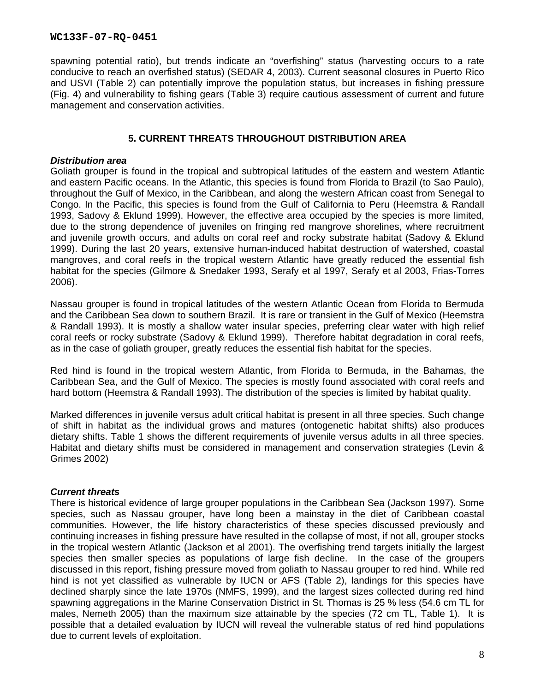spawning potential ratio), but trends indicate an "overfishing" status (harvesting occurs to a rate conducive to reach an overfished status) (SEDAR 4, 2003). Current seasonal closures in Puerto Rico and USVI (Table 2) can potentially improve the population status, but increases in fishing pressure (Fig. 4) and vulnerability to fishing gears (Table 3) require cautious assessment of current and future management and conservation activities.

# **5. CURRENT THREATS THROUGHOUT DISTRIBUTION AREA**

## *Distribution area*

Goliath grouper is found in the tropical and subtropical latitudes of the eastern and western Atlantic and eastern Pacific oceans. In the Atlantic, this species is found from Florida to Brazil (to Sao Paulo), throughout the Gulf of Mexico, in the Caribbean, and along the western African coast from Senegal to Congo. In the Pacific, this species is found from the Gulf of California to Peru (Heemstra & Randall 1993, Sadovy & Eklund 1999). However, the effective area occupied by the species is more limited, due to the strong dependence of juveniles on fringing red mangrove shorelines, where recruitment and juvenile growth occurs, and adults on coral reef and rocky substrate habitat (Sadovy & Eklund 1999). During the last 20 years, extensive human-induced habitat destruction of watershed, coastal mangroves, and coral reefs in the tropical western Atlantic have greatly reduced the essential fish habitat for the species (Gilmore & Snedaker 1993, Serafy et al 1997, Serafy et al 2003, Frias-Torres 2006).

Nassau grouper is found in tropical latitudes of the western Atlantic Ocean from Florida to Bermuda and the Caribbean Sea down to southern Brazil. It is rare or transient in the Gulf of Mexico (Heemstra & Randall 1993). It is mostly a shallow water insular species, preferring clear water with high relief coral reefs or rocky substrate (Sadovy & Eklund 1999). Therefore habitat degradation in coral reefs, as in the case of goliath grouper, greatly reduces the essential fish habitat for the species.

Red hind is found in the tropical western Atlantic, from Florida to Bermuda, in the Bahamas, the Caribbean Sea, and the Gulf of Mexico. The species is mostly found associated with coral reefs and hard bottom (Heemstra & Randall 1993). The distribution of the species is limited by habitat quality.

Marked differences in juvenile versus adult critical habitat is present in all three species. Such change of shift in habitat as the individual grows and matures (ontogenetic habitat shifts) also produces dietary shifts. Table 1 shows the different requirements of juvenile versus adults in all three species. Habitat and dietary shifts must be considered in management and conservation strategies (Levin & Grimes 2002)

## *Current threats*

There is historical evidence of large grouper populations in the Caribbean Sea (Jackson 1997). Some species, such as Nassau grouper, have long been a mainstay in the diet of Caribbean coastal communities. However, the life history characteristics of these species discussed previously and continuing increases in fishing pressure have resulted in the collapse of most, if not all, grouper stocks in the tropical western Atlantic (Jackson et al 2001). The overfishing trend targets initially the largest species then smaller species as populations of large fish decline. In the case of the groupers discussed in this report, fishing pressure moved from goliath to Nassau grouper to red hind. While red hind is not yet classified as vulnerable by IUCN or AFS (Table 2), landings for this species have declined sharply since the late 1970s (NMFS, 1999), and the largest sizes collected during red hind spawning aggregations in the Marine Conservation District in St. Thomas is 25 % less (54.6 cm TL for males, Nemeth 2005) than the maximum size attainable by the species (72 cm TL, Table 1). It is possible that a detailed evaluation by IUCN will reveal the vulnerable status of red hind populations due to current levels of exploitation.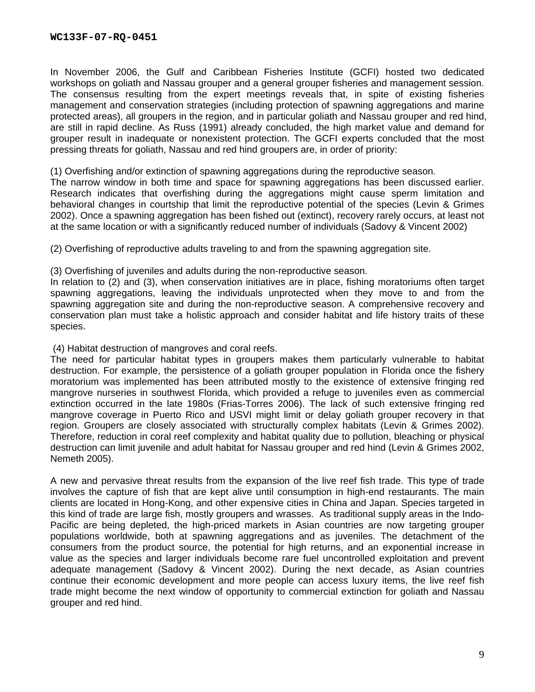In November 2006, the Gulf and Caribbean Fisheries Institute (GCFI) hosted two dedicated workshops on goliath and Nassau grouper and a general grouper fisheries and management session. The consensus resulting from the expert meetings reveals that, in spite of existing fisheries management and conservation strategies (including protection of spawning aggregations and marine protected areas), all groupers in the region, and in particular goliath and Nassau grouper and red hind, are still in rapid decline. As Russ (1991) already concluded, the high market value and demand for grouper result in inadequate or nonexistent protection. The GCFI experts concluded that the most pressing threats for goliath, Nassau and red hind groupers are, in order of priority:

(1) Overfishing and/or extinction of spawning aggregations during the reproductive season.

The narrow window in both time and space for spawning aggregations has been discussed earlier. Research indicates that overfishing during the aggregations might cause sperm limitation and behavioral changes in courtship that limit the reproductive potential of the species (Levin & Grimes 2002). Once a spawning aggregation has been fished out (extinct), recovery rarely occurs, at least not at the same location or with a significantly reduced number of individuals (Sadovy & Vincent 2002)

(2) Overfishing of reproductive adults traveling to and from the spawning aggregation site.

(3) Overfishing of juveniles and adults during the non-reproductive season.

In relation to (2) and (3), when conservation initiatives are in place, fishing moratoriums often target spawning aggregations, leaving the individuals unprotected when they move to and from the spawning aggregation site and during the non-reproductive season. A comprehensive recovery and conservation plan must take a holistic approach and consider habitat and life history traits of these species.

(4) Habitat destruction of mangroves and coral reefs.

The need for particular habitat types in groupers makes them particularly vulnerable to habitat destruction. For example, the persistence of a goliath grouper population in Florida once the fishery moratorium was implemented has been attributed mostly to the existence of extensive fringing red mangrove nurseries in southwest Florida, which provided a refuge to juveniles even as commercial extinction occurred in the late 1980s (Frias-Torres 2006). The lack of such extensive fringing red mangrove coverage in Puerto Rico and USVI might limit or delay goliath grouper recovery in that region. Groupers are closely associated with structurally complex habitats (Levin & Grimes 2002). Therefore, reduction in coral reef complexity and habitat quality due to pollution, bleaching or physical destruction can limit juvenile and adult habitat for Nassau grouper and red hind (Levin & Grimes 2002, Nemeth 2005).

A new and pervasive threat results from the expansion of the live reef fish trade. This type of trade involves the capture of fish that are kept alive until consumption in high-end restaurants. The main clients are located in Hong-Kong, and other expensive cities in China and Japan. Species targeted in this kind of trade are large fish, mostly groupers and wrasses. As traditional supply areas in the Indo-Pacific are being depleted, the high-priced markets in Asian countries are now targeting grouper populations worldwide, both at spawning aggregations and as juveniles. The detachment of the consumers from the product source, the potential for high returns, and an exponential increase in value as the species and larger individuals become rare fuel uncontrolled exploitation and prevent adequate management (Sadovy & Vincent 2002). During the next decade, as Asian countries continue their economic development and more people can access luxury items, the live reef fish trade might become the next window of opportunity to commercial extinction for goliath and Nassau grouper and red hind.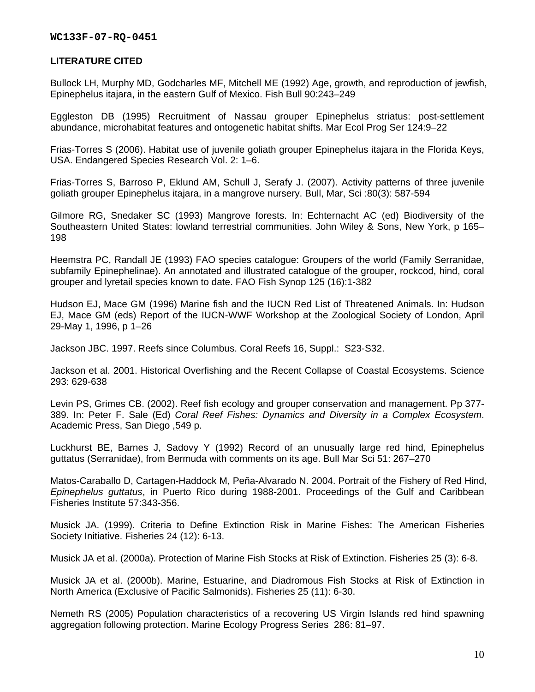## **LITERATURE CITED**

Bullock LH, Murphy MD, Godcharles MF, Mitchell ME (1992) Age, growth, and reproduction of jewfish, Epinephelus itajara, in the eastern Gulf of Mexico. Fish Bull 90:243–249

Eggleston DB (1995) Recruitment of Nassau grouper Epinephelus striatus: post-settlement abundance, microhabitat features and ontogenetic habitat shifts. Mar Ecol Prog Ser 124:9–22

Frias-Torres S (2006). Habitat use of juvenile goliath grouper Epinephelus itajara in the Florida Keys, USA. Endangered Species Research Vol. 2: 1–6.

Frias-Torres S, Barroso P, Eklund AM, Schull J, Serafy J. (2007). Activity patterns of three juvenile goliath grouper Epinephelus itajara, in a mangrove nursery. Bull, Mar, Sci :80(3): 587-594

Gilmore RG, Snedaker SC (1993) Mangrove forests. In: Echternacht AC (ed) Biodiversity of the Southeastern United States: lowland terrestrial communities. John Wiley & Sons, New York, p 165– 198

Heemstra PC, Randall JE (1993) FAO species catalogue: Groupers of the world (Family Serranidae, subfamily Epinephelinae). An annotated and illustrated catalogue of the grouper, rockcod, hind, coral grouper and lyretail species known to date. FAO Fish Synop 125 (16):1-382

Hudson EJ, Mace GM (1996) Marine fish and the IUCN Red List of Threatened Animals. In: Hudson EJ, Mace GM (eds) Report of the IUCN-WWF Workshop at the Zoological Society of London, April 29-May 1, 1996, p 1–26

Jackson JBC. 1997. Reefs since Columbus. Coral Reefs 16, Suppl.: S23-S32.

Jackson et al. 2001. Historical Overfishing and the Recent Collapse of Coastal Ecosystems. Science 293: 629-638

Levin PS, Grimes CB. (2002). Reef fish ecology and grouper conservation and management. Pp 377- 389. In: Peter F. Sale (Ed) *Coral Reef Fishes: Dynamics and Diversity in a Complex Ecosystem*. Academic Press, San Diego ,549 p.

Luckhurst BE, Barnes J, Sadovy Y (1992) Record of an unusually large red hind, Epinephelus guttatus (Serranidae), from Bermuda with comments on its age. Bull Mar Sci 51: 267–270

Matos-Caraballo D, Cartagen-Haddock M, Peña-Alvarado N. 2004. Portrait of the Fishery of Red Hind, *Epinephelus guttatus*, in Puerto Rico during 1988-2001. Proceedings of the Gulf and Caribbean Fisheries Institute 57:343-356.

Musick JA. (1999). Criteria to Define Extinction Risk in Marine Fishes: The American Fisheries Society Initiative. Fisheries 24 (12): 6-13.

Musick JA et al. (2000a). Protection of Marine Fish Stocks at Risk of Extinction. Fisheries 25 (3): 6-8.

Musick JA et al. (2000b). Marine, Estuarine, and Diadromous Fish Stocks at Risk of Extinction in North America (Exclusive of Pacific Salmonids). Fisheries 25 (11): 6-30.

Nemeth RS (2005) Population characteristics of a recovering US Virgin Islands red hind spawning aggregation following protection. Marine Ecology Progress Series 286: 81–97.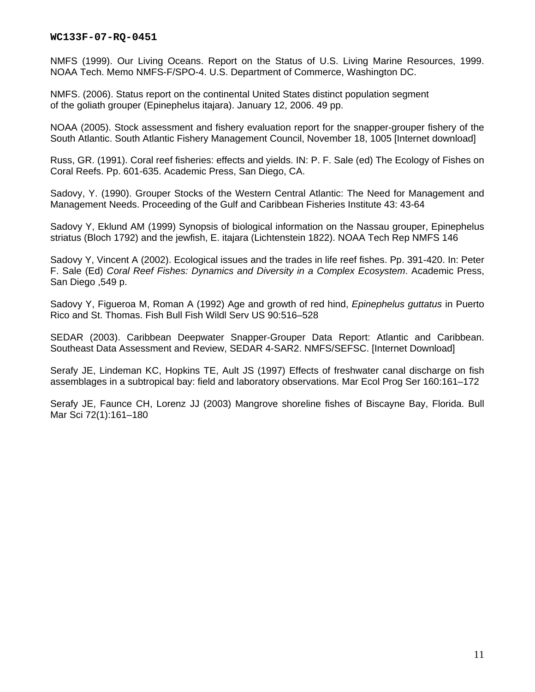NMFS (1999). Our Living Oceans. Report on the Status of U.S. Living Marine Resources, 1999. NOAA Tech. Memo NMFS-F/SPO-4. U.S. Department of Commerce, Washington DC.

NMFS. (2006). Status report on the continental United States distinct population segment of the goliath grouper (Epinephelus itajara). January 12, 2006. 49 pp.

NOAA (2005). Stock assessment and fishery evaluation report for the snapper-grouper fishery of the South Atlantic. South Atlantic Fishery Management Council, November 18, 1005 [Internet download]

Russ, GR. (1991). Coral reef fisheries: effects and yields. IN: P. F. Sale (ed) The Ecology of Fishes on Coral Reefs. Pp. 601-635. Academic Press, San Diego, CA.

Sadovy, Y. (1990). Grouper Stocks of the Western Central Atlantic: The Need for Management and Management Needs. Proceeding of the Gulf and Caribbean Fisheries Institute 43: 43-64

Sadovy Y, Eklund AM (1999) Synopsis of biological information on the Nassau grouper, Epinephelus striatus (Bloch 1792) and the jewfish, E. itajara (Lichtenstein 1822). NOAA Tech Rep NMFS 146

Sadovy Y, Vincent A (2002). Ecological issues and the trades in life reef fishes. Pp. 391-420. In: Peter F. Sale (Ed) *Coral Reef Fishes: Dynamics and Diversity in a Complex Ecosystem*. Academic Press, San Diego ,549 p.

Sadovy Y, Figueroa M, Roman A (1992) Age and growth of red hind, *Epinephelus guttatus* in Puerto Rico and St. Thomas. Fish Bull Fish Wildl Serv US 90:516–528

SEDAR (2003). Caribbean Deepwater Snapper-Grouper Data Report: Atlantic and Caribbean. Southeast Data Assessment and Review, SEDAR 4-SAR2. NMFS/SEFSC. [Internet Download]

Serafy JE, Lindeman KC, Hopkins TE, Ault JS (1997) Effects of freshwater canal discharge on fish assemblages in a subtropical bay: field and laboratory observations. Mar Ecol Prog Ser 160:161–172

Serafy JE, Faunce CH, Lorenz JJ (2003) Mangrove shoreline fishes of Biscayne Bay, Florida. Bull Mar Sci 72(1):161–180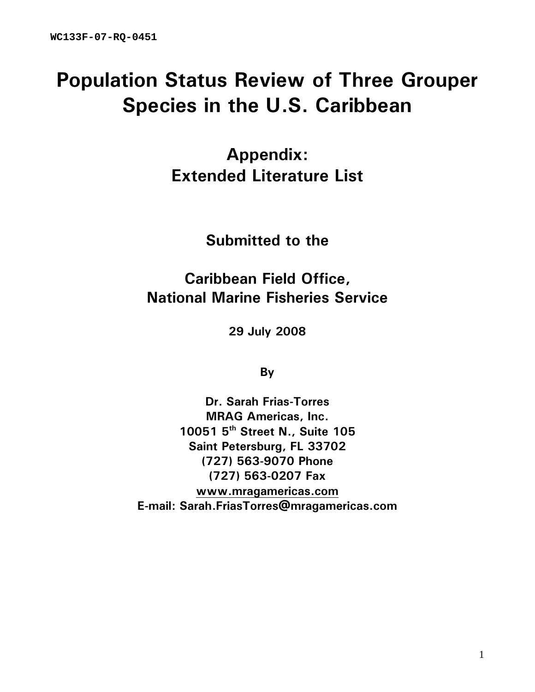# **Population Status Review of Three Grouper Species in the U.S. Caribbean**

**Appendix: Extended Literature List** 

**Submitted to the** 

**Caribbean Field Office, National Marine Fisheries Service** 

**29 July 2008** 

**By** 

**Dr. Sarah Frias-Torres MRAG Americas, Inc. 10051 5th Street N., Suite 105 Saint Petersburg, FL 33702 (727) 563-9070 Phone (727) 563-0207 Fax www.mragamericas.com E-mail: Sarah.FriasTorres@mragamericas.com**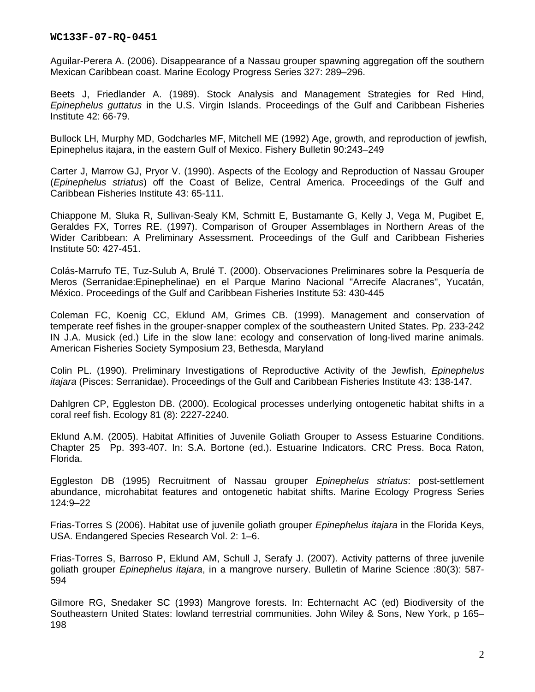Aguilar-Perera A. (2006). Disappearance of a Nassau grouper spawning aggregation off the southern Mexican Caribbean coast. Marine Ecology Progress Series 327: 289–296.

Beets J, Friedlander A. (1989). Stock Analysis and Management Strategies for Red Hind, *Epinephelus guttatus* in the U.S. Virgin Islands. Proceedings of the Gulf and Caribbean Fisheries Institute 42: 66-79.

Bullock LH, Murphy MD, Godcharles MF, Mitchell ME (1992) Age, growth, and reproduction of jewfish, Epinephelus itajara, in the eastern Gulf of Mexico. Fishery Bulletin 90:243–249

Carter J, Marrow GJ, Pryor V. (1990). Aspects of the Ecology and Reproduction of Nassau Grouper (*Epinephelus striatus*) off the Coast of Belize, Central America. Proceedings of the Gulf and Caribbean Fisheries Institute 43: 65-111.

Chiappone M, Sluka R, Sullivan-Sealy KM, Schmitt E, Bustamante G, Kelly J, Vega M, Pugibet E, Geraldes FX, Torres RE. (1997). Comparison of Grouper Assemblages in Northern Areas of the Wider Caribbean: A Preliminary Assessment. Proceedings of the Gulf and Caribbean Fisheries Institute 50: 427-451.

Colás-Marrufo TE, Tuz-Sulub A, Brulé T. (2000). Observaciones Preliminares sobre la Pesquería de Meros (Serranidae:Epinephelinae) en el Parque Marino Nacional "Arrecife Alacranes", Yucatán, México. Proceedings of the Gulf and Caribbean Fisheries Institute 53: 430-445

Coleman FC, Koenig CC, Eklund AM, Grimes CB. (1999). Management and conservation of temperate reef fishes in the grouper-snapper complex of the southeastern United States. Pp. 233-242 IN J.A. Musick (ed.) Life in the slow lane: ecology and conservation of long-lived marine animals. American Fisheries Society Symposium 23, Bethesda, Maryland

Colin PL. (1990). Preliminary Investigations of Reproductive Activity of the Jewfish, *Epinephelus itajara* (Pisces: Serranidae). Proceedings of the Gulf and Caribbean Fisheries Institute 43: 138-147.

Dahlgren CP, Eggleston DB. (2000). Ecological processes underlying ontogenetic habitat shifts in a coral reef fish. Ecology 81 (8): 2227-2240.

Eklund A.M. (2005). Habitat Affinities of Juvenile Goliath Grouper to Assess Estuarine Conditions. Chapter 25 Pp. 393-407. In: S.A. Bortone (ed.). Estuarine Indicators. CRC Press. Boca Raton, Florida.

Eggleston DB (1995) Recruitment of Nassau grouper *Epinephelus striatus*: post-settlement abundance, microhabitat features and ontogenetic habitat shifts. Marine Ecology Progress Series 124:9–22

Frias-Torres S (2006). Habitat use of juvenile goliath grouper *Epinephelus itajara* in the Florida Keys, USA. Endangered Species Research Vol. 2: 1–6.

Frias-Torres S, Barroso P, Eklund AM, Schull J, Serafy J. (2007). Activity patterns of three juvenile goliath grouper *Epinephelus itajara*, in a mangrove nursery. Bulletin of Marine Science :80(3): 587- 594

Gilmore RG, Snedaker SC (1993) Mangrove forests. In: Echternacht AC (ed) Biodiversity of the Southeastern United States: lowland terrestrial communities. John Wiley & Sons, New York, p 165– 198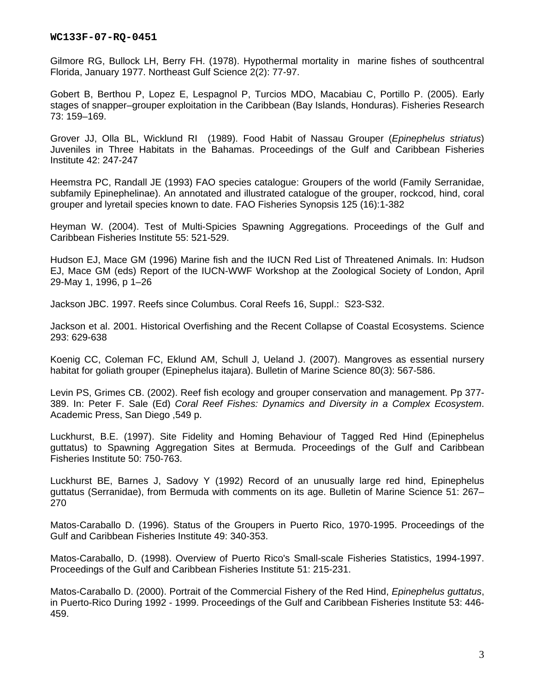Gilmore RG, Bullock LH, Berry FH. (1978). Hypothermal mortality in marine fishes of southcentral Florida, January 1977. Northeast Gulf Science 2(2): 77-97.

Gobert B, Berthou P, Lopez E, Lespagnol P, Turcios MDO, Macabiau C, Portillo P. (2005). Early stages of snapper–grouper exploitation in the Caribbean (Bay Islands, Honduras). Fisheries Research 73: 159–169.

Grover JJ, Olla BL, Wicklund RI (1989). Food Habit of Nassau Grouper (*Epinephelus striatus*) Juveniles in Three Habitats in the Bahamas. Proceedings of the Gulf and Caribbean Fisheries Institute 42: 247-247

Heemstra PC, Randall JE (1993) FAO species catalogue: Groupers of the world (Family Serranidae, subfamily Epinephelinae). An annotated and illustrated catalogue of the grouper, rockcod, hind, coral grouper and lyretail species known to date. FAO Fisheries Synopsis 125 (16):1-382

Heyman W. (2004). Test of Multi-Spicies Spawning Aggregations. Proceedings of the Gulf and Caribbean Fisheries Institute 55: 521-529.

Hudson EJ, Mace GM (1996) Marine fish and the IUCN Red List of Threatened Animals. In: Hudson EJ, Mace GM (eds) Report of the IUCN-WWF Workshop at the Zoological Society of London, April 29-May 1, 1996, p 1–26

Jackson JBC. 1997. Reefs since Columbus. Coral Reefs 16, Suppl.: S23-S32.

Jackson et al. 2001. Historical Overfishing and the Recent Collapse of Coastal Ecosystems. Science 293: 629-638

Koenig CC, Coleman FC, Eklund AM, Schull J, Ueland J. (2007). Mangroves as essential nursery habitat for goliath grouper (Epinephelus itajara). Bulletin of Marine Science 80(3): 567-586.

Levin PS, Grimes CB. (2002). Reef fish ecology and grouper conservation and management. Pp 377- 389. In: Peter F. Sale (Ed) *Coral Reef Fishes: Dynamics and Diversity in a Complex Ecosystem*. Academic Press, San Diego ,549 p.

Luckhurst, B.E. (1997). Site Fidelity and Homing Behaviour of Tagged Red Hind (Epinephelus guttatus) to Spawning Aggregation Sites at Bermuda. Proceedings of the Gulf and Caribbean Fisheries Institute 50: 750-763.

Luckhurst BE, Barnes J, Sadovy Y (1992) Record of an unusually large red hind, Epinephelus guttatus (Serranidae), from Bermuda with comments on its age. Bulletin of Marine Science 51: 267– 270

Matos-Caraballo D. (1996). Status of the Groupers in Puerto Rico, 1970-1995. Proceedings of the Gulf and Caribbean Fisheries Institute 49: 340-353.

Matos-Caraballo, D. (1998). Overview of Puerto Rico's Small-scale Fisheries Statistics, 1994-1997. Proceedings of the Gulf and Caribbean Fisheries Institute 51: 215-231.

Matos-Caraballo D. (2000). Portrait of the Commercial Fishery of the Red Hind, *Epinephelus guttatus*, in Puerto-Rico During 1992 - 1999. Proceedings of the Gulf and Caribbean Fisheries Institute 53: 446- 459.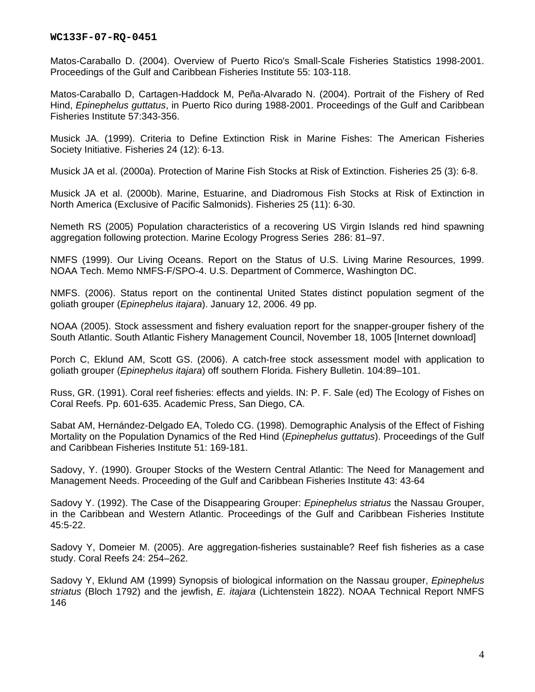Matos-Caraballo D. (2004). Overview of Puerto Rico's Small-Scale Fisheries Statistics 1998-2001. Proceedings of the Gulf and Caribbean Fisheries Institute 55: 103-118.

Matos-Caraballo D, Cartagen-Haddock M, Peña-Alvarado N. (2004). Portrait of the Fishery of Red Hind, *Epinephelus guttatus*, in Puerto Rico during 1988-2001. Proceedings of the Gulf and Caribbean Fisheries Institute 57:343-356.

Musick JA. (1999). Criteria to Define Extinction Risk in Marine Fishes: The American Fisheries Society Initiative. Fisheries 24 (12): 6-13.

Musick JA et al. (2000a). Protection of Marine Fish Stocks at Risk of Extinction. Fisheries 25 (3): 6-8.

Musick JA et al. (2000b). Marine, Estuarine, and Diadromous Fish Stocks at Risk of Extinction in North America (Exclusive of Pacific Salmonids). Fisheries 25 (11): 6-30.

Nemeth RS (2005) Population characteristics of a recovering US Virgin Islands red hind spawning aggregation following protection. Marine Ecology Progress Series 286: 81–97.

NMFS (1999). Our Living Oceans. Report on the Status of U.S. Living Marine Resources, 1999. NOAA Tech. Memo NMFS-F/SPO-4. U.S. Department of Commerce, Washington DC.

NMFS. (2006). Status report on the continental United States distinct population segment of the goliath grouper (*Epinephelus itajara*). January 12, 2006. 49 pp.

NOAA (2005). Stock assessment and fishery evaluation report for the snapper-grouper fishery of the South Atlantic. South Atlantic Fishery Management Council, November 18, 1005 [Internet download]

Porch C, Eklund AM, Scott GS. (2006). A catch-free stock assessment model with application to goliath grouper (*Epinephelus itajara*) off southern Florida. Fishery Bulletin. 104:89–101.

Russ, GR. (1991). Coral reef fisheries: effects and yields. IN: P. F. Sale (ed) The Ecology of Fishes on Coral Reefs. Pp. 601-635. Academic Press, San Diego, CA.

Sabat AM, Hernández-Delgado EA, Toledo CG. (1998). Demographic Analysis of the Effect of Fishing Mortality on the Population Dynamics of the Red Hind (*Epinephelus guttatus*). Proceedings of the Gulf and Caribbean Fisheries Institute 51: 169-181.

Sadovy, Y. (1990). Grouper Stocks of the Western Central Atlantic: The Need for Management and Management Needs. Proceeding of the Gulf and Caribbean Fisheries Institute 43: 43-64

Sadovy Y. (1992). The Case of the Disappearing Grouper: *Epinephelus striatus* the Nassau Grouper, in the Caribbean and Western Atlantic. Proceedings of the Gulf and Caribbean Fisheries Institute 45:5-22.

Sadovy Y, Domeier M. (2005). Are aggregation-fisheries sustainable? Reef fish fisheries as a case study. Coral Reefs 24: 254–262.

Sadovy Y, Eklund AM (1999) Synopsis of biological information on the Nassau grouper, *Epinephelus striatus* (Bloch 1792) and the jewfish, *E. itajara* (Lichtenstein 1822). NOAA Technical Report NMFS 146